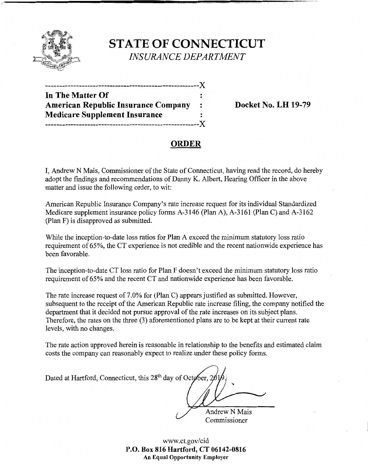

# **STATE OF CONNECTICUT**  *INSURANCE DEPARTMENT*

| In The Matter Of                           |         |
|--------------------------------------------|---------|
| <b>American Republic Insurance Company</b> | $\cdot$ |
| <b>Medicare Supplement Insurance</b>       |         |
| ----------------                           | -X      |

**Docket No. LH 19-79** 

### **ORDER**

I, Andrew N Mais, Commissioner of the State of Connecticut, having read the record, do hereby adopt the findings and recommendations of Danny K. Albert, Hearing Officer in the above matter and issue the following order, to wit:

American Republic Insurance Company's rate increase request for its individual Standardized Medicare supplement insurance policy forms A-3146 (Plan A), A-3161 (Plan C) and A-3162 (Plan F) is disapproved as submitted.

While the inception-to-date loss ratios for Plan A exceed the minimum statutory loss ratio requirement of 65%, the CT experience is not credible and the recent nationwide experience has been favorable.

The inception-to-date CT loss ratio for Plan F doesn't exceed the minimum statutory loss ratio requirement of 65% and the recent CT and nationwide experience has been favorable.

The rate increase request of 7.0% for (Plan C) appears justified as submitted. However, subsequent to the receipt of the American Republic rate increase filing, the company notified the department that it decided not pursue approval of the rate increases on its subject plans. Therefore, the rates on the three (3) aforementioned plans are to be kept at their current rate levels, with no changes.

The rate action approved herein is reasonable in relationship to the benefits and estimated claim costs the company can reasonably expect to realize under these policy forms.

Dated at Hartford, Connecticut, this 28<sup>th</sup> day of October, 20 **Andrew N Mais** Commissioner

www.ct.gov/cid **P.O. Box 816 Hartford, CT 06142-0816 An Equal Opportunity Employer**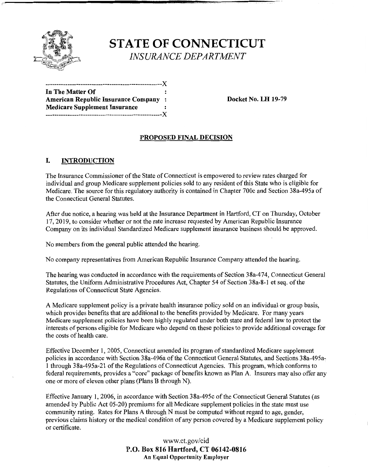

# **ST ATE OF CONNECTICUT**  *INSURANCE DEPARTMENT*

| In The Matter Of                     |              |
|--------------------------------------|--------------|
| American Republic Insurance Company  | $\mathbf{r}$ |
| <b>Medicare Supplement Insurance</b> |              |
|                                      |              |

**American Republic Insurance Company** : **Docket No. LH 19-**79

#### **PROPOSED FINAL DECISION**

#### I. **INTRODUCTION**

The Insurance Commissioner of the State of Connecticut is empowered to review rates charged for individual and group Medicare supplement policies sold to any resident of this State who is eligible for Medicare. The source for this regulatory authority is contained in Chapter 700c and Section 38a-495a of the Connecticut General Statutes.

After due notice, a hearing was held at the Insurance Department in Hartford, CT on Thursday, October 17, 2019, to consider whether or not the rate increase requested by American Republic Insurance Company on its individual Standardized Medicare supplement insurance business should be approved.

No members from the general public attended the hearing.

No company representatives from American Republic Insurance Company attended the hearing.

The hearing was conducted in accordance with the requirements of Section 38a-474, Connecticut General Statutes, the Uniform Administrative Procedures Act, Chapter 54 of Section 38a-8-1 et seq. of the Regulations of Connecticut State Agencies.

A Medicare supplement policy is a private health insurance policy sold on an individual or group basis, which provides benefits that are additional to the benefits provided by Medicare. For many years Medicare supplement policies have been highly regulated under both state and federal law to protect the interests of persons eligible for Medicare who depend on these policies to provide additional coverage for the costs of health care.

Effective December 1, 2005, Connecticut amended its program of standardized Medicare supplement policies in accordance with Section 38a-496a of the Connecticut General Statutes, and Sections 38a-495a-1 through 38a-495a-21 of the Regulations of Connecticut Agencies. This program, which conforms to federal requirements, provides a "core" package of benefits known as Plan A. Insurers may also offer any one or more of eleven other plans (Plans B through N).

Effective January I, 2006, in accordance with Section 38a-495c of the Connecticut General Statutes (as amended by Public Act 05-20) premiums for all Medicare supplement policies in the state must use community rating. Rates for Plans A through N must be computed without regard to age, gender, previous claims history or the medical condition of any person covered by a Medicare supplement policy or certificate.

> www.ct.gov/cid **P.O. Box 816 Hartford, CT 06142-0816 An Equal Opportunity Employer**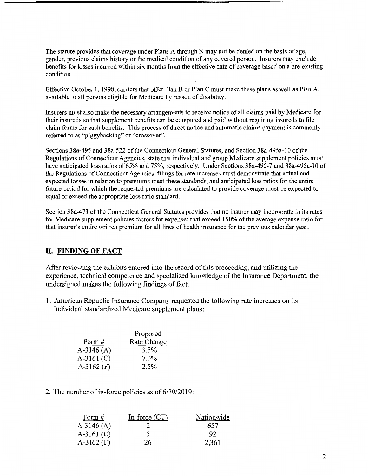The statute provides that coverage under Plans A through N may not be denied on the basis of age, gender, previous claims history or the medical condition of any covered person. Insurers may exclude benefits for losses incurred within six months from the effective date of coverage based on a pre-existing condition.

Effective October 1, 1998, carriers that offer Plan B or Plan C must make these plans as well as Plan A, available to all persons eligible for Medicare by reason of disability.

Insurers must also make the necessary arrangements to receive notice of all claims paid by Medicare for their insureds so that supplement benefits can be computed and paid without requiring insureds to file claim forms for such benefits. This process of direct notice and automatic claims payment is commonly referred to as "piggybacking" or "crossover".

Sections 38a-495 and 38a-522 of the Connecticut General Statutes, and Section 38a-495a-10 of the Regulations of Connecticut Agencies, state that individual and group Medicare supplement policies must have anticipated loss ratios of 65% and 75%, respectively. Under Sections 38a-495-7 and 38a-495a-10 of the Regulations of Connecticut Agencies, filings for rate increases must demonstrate that actual and expected losses in relation to premiums meet these standards, and anticipated loss ratios for the entire future period for which the requested premiums are calculated to provide coverage must be expected to equal or exceed the appropriate loss ratio standard.

Section 38a-473 of the Connecticut General Statutes provides that no insurer may incorporate in its rates for Medicare supplement policies factors for expenses that exceed 150% of the average expense ratio for that insurer's entire written premium for all lines of health insurance for the previous calendar year.

#### **II. FINDING OF FACT**

After reviewing the exhibits entered into the record of this proceeding, and utilizing the experience, technical competence and specialized knowledge of the Insurance Department, the undersigned makes the following findings of fact:

1. American Republic Insurance Company requested the following rate increases on its individual standardized Medicare supplement plans:

|              | Proposed           |
|--------------|--------------------|
| Form $#$     | <b>Rate Change</b> |
| $A-3146(A)$  | 3.5%               |
| $A-3161$ (C) | 7.0%               |
| A-3162 $(F)$ | 2.5%               |

2. The number of in-force policies as of 6/30/2019:

| Form $#$     | In-force $(CT)$ | Nationwide |
|--------------|-----------------|------------|
| $A-3146(A)$  |                 | 657        |
| $A-3161$ (C) | ↖               | 92         |
| $A-3162$ (F) | 26              | 2,361      |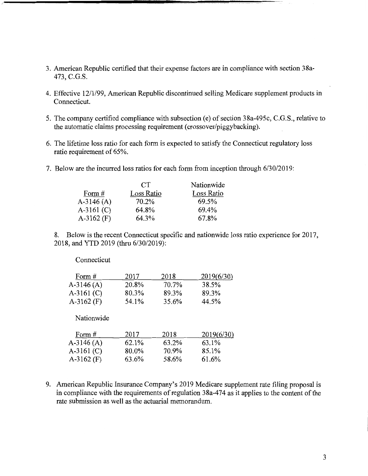- 3. American Republic certified that their expense factors are in compliance with section 38a-473, C.G.S.
- 4. Effective 12/1/99, American Republic discontinued selling Medicare supplement products in Connecticut.
- 5. The company certified compliance with subsection (e) of section 38a-495c, C.G.S., relative to the automatic claims processing requirement ( crossover/piggybacking).
- 6. The lifetime loss ratio for each form is expected to satisfy the Connecticut regulatory loss ratio requirement of 65%.
- 7. Below are the incurred loss ratios for each form from inception through 6/30/2019:

|              | CT.        | Nationwide |
|--------------|------------|------------|
| Form $#$     | Loss Ratio | Loss Ratio |
| $A-3146(A)$  | 70.2%      | 69.5%      |
| $A-3161$ (C) | 64.8%      | 69.4%      |
| $A-3162$ (F) | 64.3%      | 67.8%      |

8. Below is the recent Connecticut specific and nationwide loss ratio experience for 2017, 2018, and YTD 2019 (thru 6/30/2019):

| Connecticut  |       |       |            |
|--------------|-------|-------|------------|
| Form #       | 2017  | 2018  | 2019(6/30) |
| $A-3146(A)$  | 20.8% | 70.7% | 38.5%      |
| $A-3161(C)$  | 80.3% | 89.3% | 89.3%      |
| $A-3162$ (F) | 54.1% | 35.6% | 44.5%      |
| Nationwide   |       |       |            |
| Form #       | 2017  | 2018  | 2019(6/30) |
| $A-3146(A)$  | 62.1% | 63.2% | 63.1%      |
| $A-3161(C)$  | 80.0% | 70.9% | 85.1%      |
| $A-3162$ (F) | 63.6% | 58.6% | 61.6%      |

9. American Republic Insurance Company's 2019 Medicare supplement rate filing proposal is in compliance with the requirements of regulation 38a-474 as it applies to the content of the rate submission as well as the actuarial memorandum.